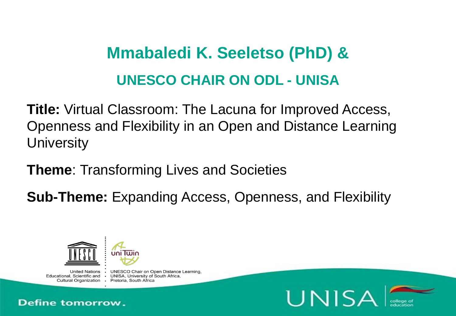### **Mmabaledi K. Seeletso (PhD) & UNESCO CHAIR ON ODL - UNISA**

**Title:** Virtual Classroom: The Lacuna for Improved Access, Openness and Flexibility in an Open and Distance Learning **University** 

**Theme**: Transforming Lives and Societies

**Sub-Theme:** Expanding Access, Openness, and Flexibility



Cultural Organization . Pretoria, South Africa

United Nations • UNESCO Chair on Open Distance Learning. Educational, Scientific and . UNISA, University of South Africa,



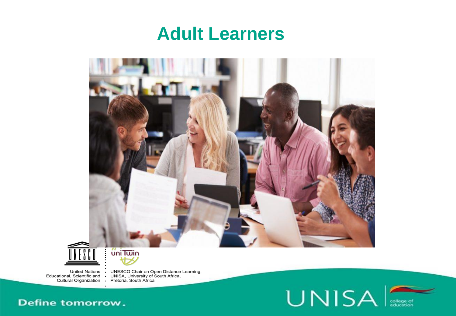### **Adult Learners**





United Nations : UNESCO Chair on Open Distance Learning,<br>Educational, Scientific and : UNISA, University of South Africa,<br>Cultural Organization : Pretoria, South Africa



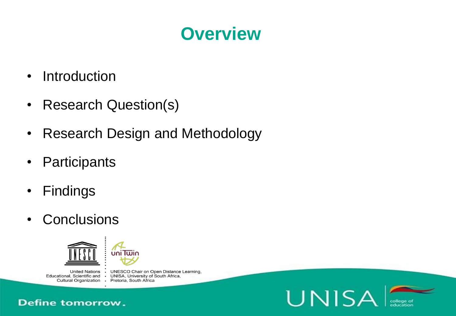### **Overview**

**UNISA** 

- Introduction
- Research Question(s)
- Research Design and Methodology
- Participants
- Findings
- Conclusions



United Nations • UNESCO Chair on Open Distance Learning, Educational, Scientific and . UNISA, University of South Africa, Cultural Organization . Pretoria, South Africa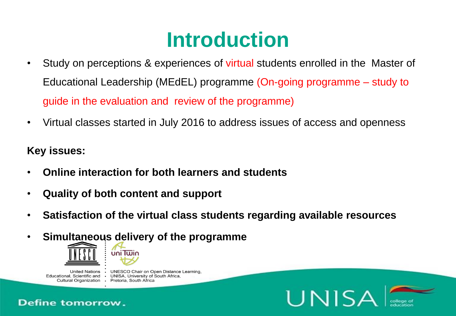## **Introduction**

- Study on perceptions & experiences of virtual students enrolled in the Master of Educational Leadership (MEdEL) programme (On-going programme – study to guide in the evaluation and review of the programme)
- Virtual classes started in July 2016 to address issues of access and openness

#### **Key issues:**

- **Online interaction for both learners and students**
- **Quality of both content and support**
- **Satisfaction of the virtual class students regarding available resources**

UNISA

• **Simultaneous delivery of the programme**



United Nations . Educational, Scientific and Cultural Organization · Pretoria, South Africa

**UNESCO Chair on Open Distance Learning.** • UNISA, University of South Africa,

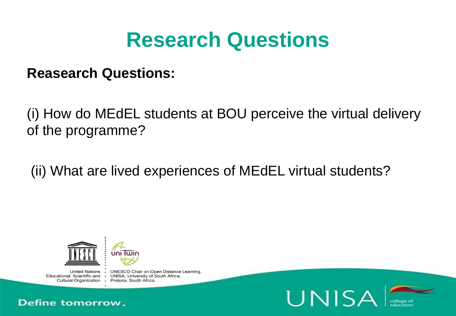### **Research Questions**

**Reasearch Questions:** 

(i) How do MEdEL students at BOU perceive the virtual delivery of the programme?

(ii) What are lived experiences of MEdEL virtual students?



Cultural Organization · Pretoria, South Africa

United Nations • UNESCO Chair on Open Distance Learning. Educational, Scientific and . UNISA, University of South Africa,



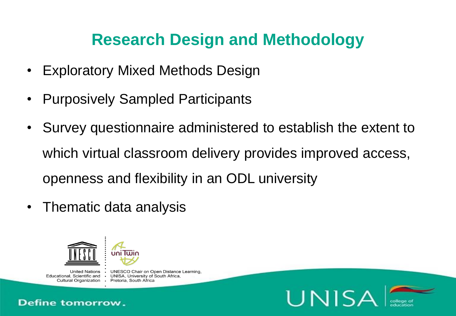### **Research Design and Methodology**

- Exploratory Mixed Methods Design
- Purposively Sampled Participants
- Survey questionnaire administered to establish the extent to which virtual classroom delivery provides improved access, openness and flexibility in an ODL university
- Thematic data analysis

 $\cdot$ 



**United Nations** Educational, Scientific and

**UNESCO Chair on Open Distance Learning.** • UNISA, University of South Africa. Cultural Organization · Pretoria, South Africa



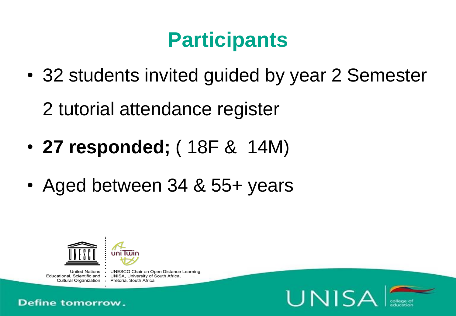# **Participants**

• 32 students invited guided by year 2 Semester 2 tutorial attendance register

- **27 responded;** ( 18F & 14M)
- Aged between 34 & 55+ years



United Nations • UNESCO Chair on Open Distance Learning. Educational, Scientific and . UNISA, University of South Africa, Cultural Organization · Pretoria, South Africa



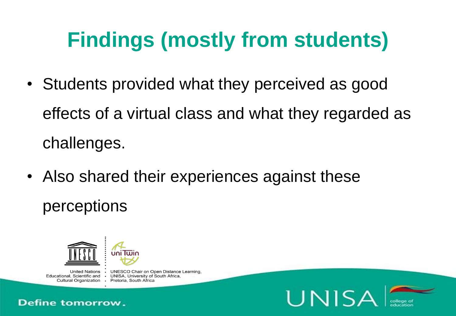# **Findings (mostly from students)**

- Students provided what they perceived as good effects of a virtual class and what they regarded as challenges.
- Also shared their experiences against these perceptions



United Nations • UNESCO Chair on Open Distance Learning. Educational, Scientific and . UNISA, University of South Africa, Cultural Organization · Pretoria, South Africa



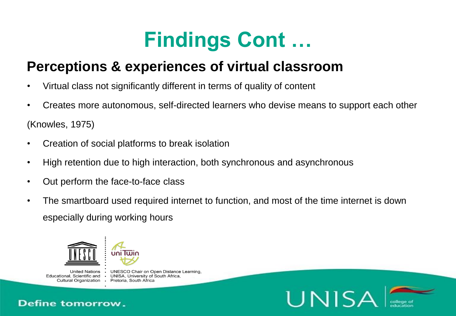## **Findings Cont …**

### **Perceptions & experiences of virtual classroom**

- Virtual class not significantly different in terms of quality of content
- Creates more autonomous, self-directed learners who devise means to support each other (Knowles, 1975)
- Creation of social platforms to break isolation
- High retention due to high interaction, both synchronous and asynchronous
- Out perform the face-to-face class

 $\bullet$ 

• The smartboard used required internet to function, and most of the time internet is down especially during working hours



**United Nations** Educational, Scientific and Cultural Organization · Pretoria, South Africa

**Define tomorrow.** 

**UNESCO Chair on Open Distance Learning.** UNISA, University of South Africa,



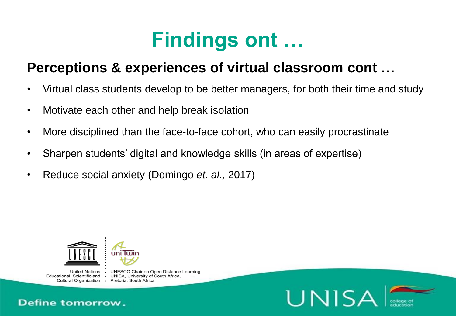### **Findings ont …**

### **Perceptions & experiences of virtual classroom cont …**

- Virtual class students develop to be better managers, for both their time and study
- Motivate each other and help break isolation
- More disciplined than the face-to-face cohort, who can easily procrastinate
- Sharpen students' digital and knowledge skills (in areas of expertise)
- Reduce social anxiety (Domingo *et. al.,* 2017)



**United Nations** Educational, Scientific and

**UNESCO Chair on Open Distance Learning.** UNISA, University of South Africa, Cultural Organization · Pretoria, South Africa



 $\bullet$ 

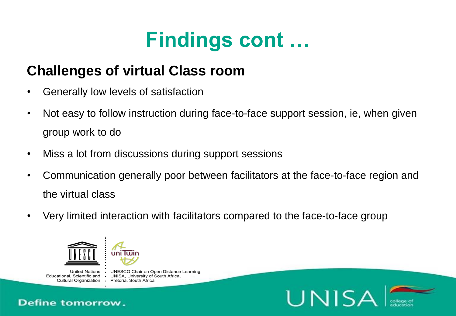# **Findings cont …**

### **Challenges of virtual Class room**

- Generally low levels of satisfaction
- Not easy to follow instruction during face-to-face support session, ie, when given group work to do
- Miss a lot from discussions during support sessions
- Communication generally poor between facilitators at the face-to-face region and the virtual class
- Very limited interaction with facilitators compared to the face-to-face group



 $\bullet$ 

**United Nations** Educational, Scientific and Cultural Organization · Pretoria, South Africa

**Define tomorrow.** 

**UNESCO Chair on Open Distance Learning.** UNISA, University of South Africa,



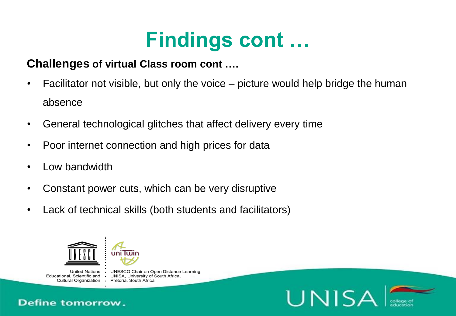## **Findings cont …**

#### **Challenges of virtual Class room cont ….**

- Facilitator not visible, but only the voice picture would help bridge the human absence
- General technological glitches that affect delivery every time
- Poor internet connection and high prices for data
- Low bandwidth
- Constant power cuts, which can be very disruptive
- Lack of technical skills (both students and facilitators)



 $\cdot$ 

**United Nations** Educational, Scientific and Cultural Organization · Pretoria, South Africa

**Define tomorrow.** 

**UNESCO Chair on Open Distance Learning.**  $\bullet$ UNISA, University of South Africa,



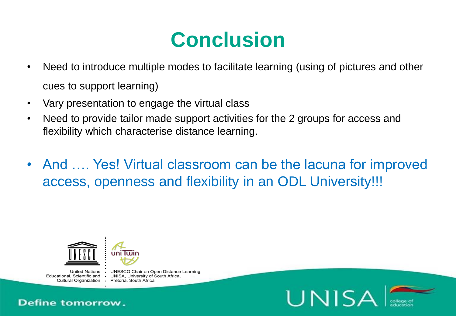## **Conclusion**

- Need to introduce multiple modes to facilitate learning (using of pictures and other cues to support learning)
- Vary presentation to engage the virtual class
- Need to provide tailor made support activities for the 2 groups for access and flexibility which characterise distance learning.
- And …. Yes! Virtual classroom can be the lacuna for improved access, openness and flexibility in an ODL University!!!



United Nations . Educational, Scientific and

**UNESCO Chair on Open Distance Learning.** • UNISA, University of South Africa, Cultural Organization · Pretoria, South Africa



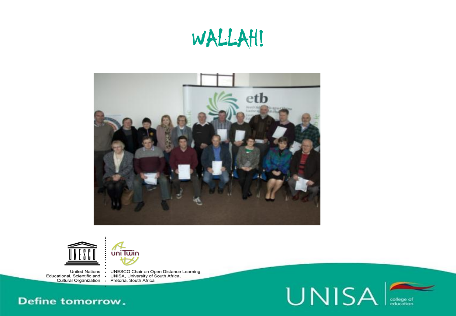## WALLAH!



**UNISA** 

college of<br>education